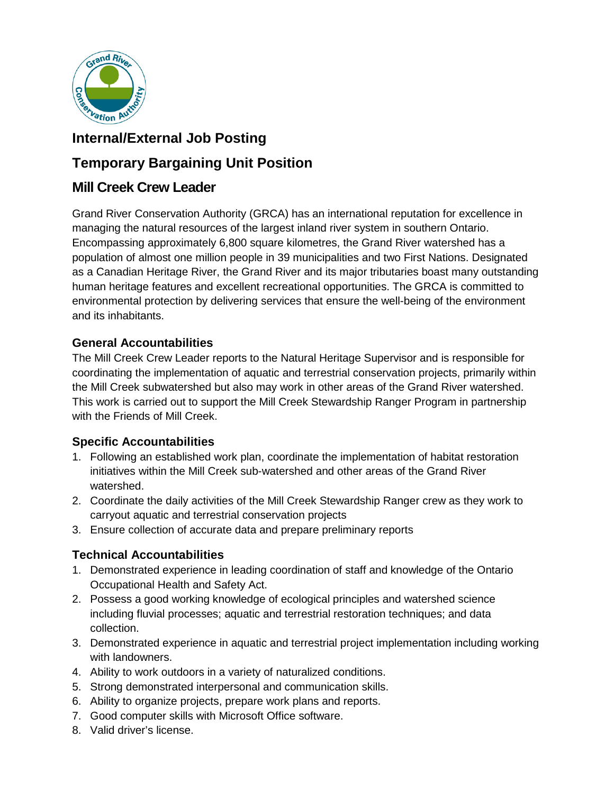

# **Internal/External Job Posting**

# **Temporary Bargaining Unit Position**

# **Mill Creek Crew Leader**

Grand River Conservation Authority (GRCA) has an international reputation for excellence in managing the natural resources of the largest inland river system in southern Ontario. Encompassing approximately 6,800 square kilometres, the Grand River watershed has a population of almost one million people in 39 municipalities and two First Nations. Designated as a Canadian Heritage River, the Grand River and its major tributaries boast many outstanding human heritage features and excellent recreational opportunities. The GRCA is committed to environmental protection by delivering services that ensure the well-being of the environment and its inhabitants.

# **General Accountabilities**

The Mill Creek Crew Leader reports to the Natural Heritage Supervisor and is responsible for coordinating the implementation of aquatic and terrestrial conservation projects, primarily within the Mill Creek subwatershed but also may work in other areas of the Grand River watershed. This work is carried out to support the Mill Creek Stewardship Ranger Program in partnership with the Friends of Mill Creek.

## **Specific Accountabilities**

- 1. Following an established work plan, coordinate the implementation of habitat restoration initiatives within the Mill Creek sub-watershed and other areas of the Grand River watershed.
- 2. Coordinate the daily activities of the Mill Creek Stewardship Ranger crew as they work to carryout aquatic and terrestrial conservation projects
- 3. Ensure collection of accurate data and prepare preliminary reports

# **Technical Accountabilities**

- 1. Demonstrated experience in leading coordination of staff and knowledge of the Ontario Occupational Health and Safety Act.
- 2. Possess a good working knowledge of ecological principles and watershed science including fluvial processes; aquatic and terrestrial restoration techniques; and data collection.
- 3. Demonstrated experience in aquatic and terrestrial project implementation including working with landowners.
- 4. Ability to work outdoors in a variety of naturalized conditions.
- 5. Strong demonstrated interpersonal and communication skills.
- 6. Ability to organize projects, prepare work plans and reports.
- 7. Good computer skills with Microsoft Office software.
- 8. Valid driver's license.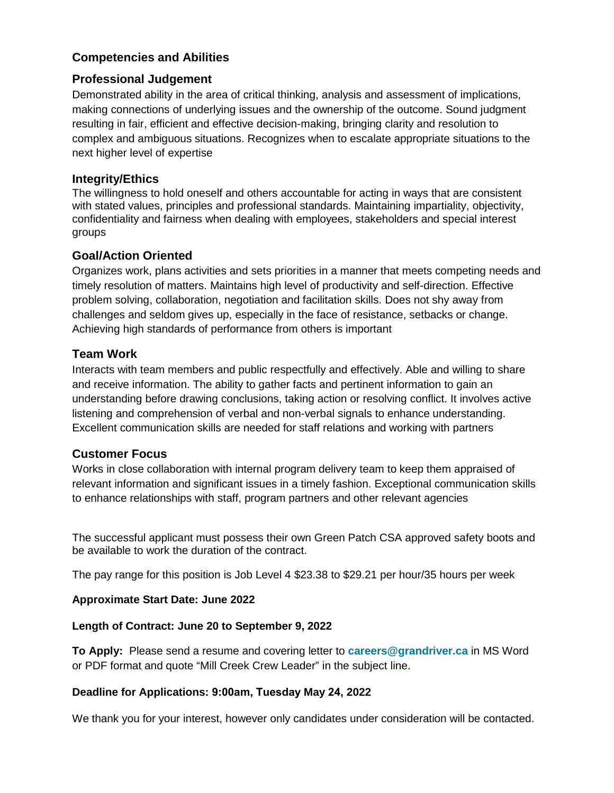## **Competencies and Abilities**

#### **Professional Judgement**

Demonstrated ability in the area of critical thinking, analysis and assessment of implications, making connections of underlying issues and the ownership of the outcome. Sound judgment resulting in fair, efficient and effective decision-making, bringing clarity and resolution to complex and ambiguous situations. Recognizes when to escalate appropriate situations to the next higher level of expertise

#### **Integrity/Ethics**

The willingness to hold oneself and others accountable for acting in ways that are consistent with stated values, principles and professional standards. Maintaining impartiality, objectivity, confidentiality and fairness when dealing with employees, stakeholders and special interest groups

#### **Goal/Action Oriented**

Organizes work, plans activities and sets priorities in a manner that meets competing needs and timely resolution of matters. Maintains high level of productivity and self-direction. Effective problem solving, collaboration, negotiation and facilitation skills. Does not shy away from challenges and seldom gives up, especially in the face of resistance, setbacks or change. Achieving high standards of performance from others is important

### **Team Work**

Interacts with team members and public respectfully and effectively. Able and willing to share and receive information. The ability to gather facts and pertinent information to gain an understanding before drawing conclusions, taking action or resolving conflict. It involves active listening and comprehension of verbal and non-verbal signals to enhance understanding. Excellent communication skills are needed for staff relations and working with partners

#### **Customer Focus**

Works in close collaboration with internal program delivery team to keep them appraised of relevant information and significant issues in a timely fashion. Exceptional communication skills to enhance relationships with staff, program partners and other relevant agencies

The successful applicant must possess their own Green Patch CSA approved safety boots and be available to work the duration of the contract.

The pay range for this position is Job Level 4 \$23.38 to \$29.21 per hour/35 hours per week

#### **Approximate Start Date: June 2022**

#### **Length of Contract: June 20 to September 9, 2022**

**To Apply:** Please send a resume and covering letter to **[careers@grandriver.ca](mailto:careers@grandriver.ca)** in MS Word or PDF format and quote "Mill Creek Crew Leader" in the subject line.

#### **Deadline for Applications: 9:00am, Tuesday May 24, 2022**

We thank you for your interest, however only candidates under consideration will be contacted.